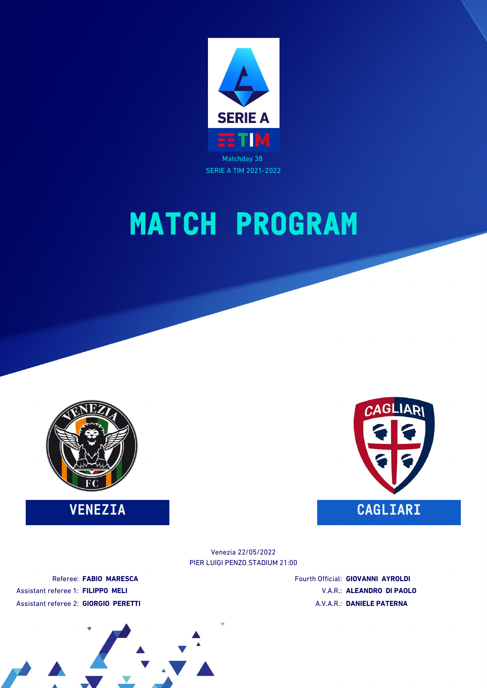





PIER LUIGI PENZO STADIUM 21:00 Venezia 22/05/2022

Referee: **FABIO MARESCA** Assistant referee 1: **FILIPPO MELI** Assistant referee 2: **GIORGIO PERETTI** Fourth Official: **GIOVANNI AYROLDI** V.A.R.: **ALEANDRO DI PAOLO** A.V.A.R.: **DANIELE PATERNA**

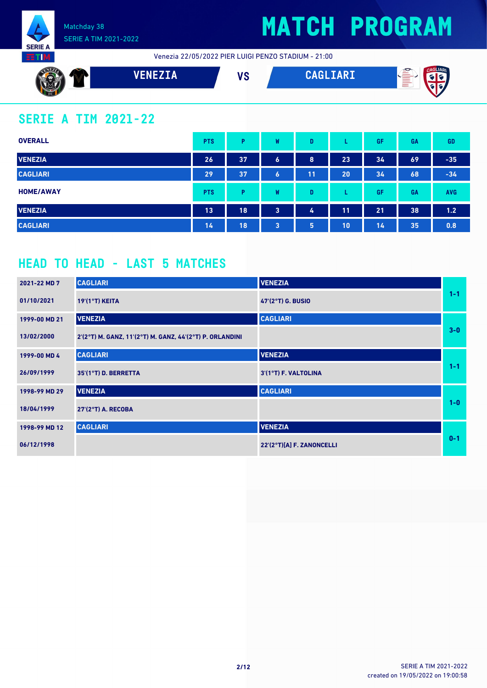

## **MATCH PROGRAM**

Venezia 22/05/2022 PIER LUIGI PENZO STADIUM - 21:00



### **SERIE A TIM 2021-22**

| <b>OVERALL</b>   | <b>PTS</b> | Þ  | W | D  |    | GF | GA | <b>GD</b>  |
|------------------|------------|----|---|----|----|----|----|------------|
| <b>VENEZIA</b>   | 26         | 37 | 6 | 8  | 23 | 34 | 69 | $-35$      |
| <b>CAGLIARI</b>  | 29         | 37 | 6 | 11 | 20 | 34 | 68 | $-34$      |
| <b>HOME/AWAY</b> | <b>PTS</b> | Þ  | W | D  | ┗  | GF | GA | <b>AVG</b> |
| <b>VENEZIA</b>   | 13         | 18 | 3 | 4  | 11 | 21 | 38 | 1.2        |
| <b>CAGLIARI</b>  | 14         | 18 | 3 | 5  | 10 | 14 | 35 | 0.8        |

### **HEAD TO HEAD - LAST 5 MATCHES**

| 2021-22 MD 7  | <b>CAGLIARI</b>                                          | <b>VENEZIA</b>            |         |
|---------------|----------------------------------------------------------|---------------------------|---------|
| 01/10/2021    | 19'(1°T) KEITA                                           | 47'(2°T) G. BUSIO         | $1 - 1$ |
| 1999-00 MD 21 | <b>VENEZIA</b>                                           | <b>CAGLIARI</b>           |         |
| 13/02/2000    | 2'(2°T) M. GANZ, 11'(2°T) M. GANZ, 44'(2°T) P. ORLANDINI |                           | $3-0$   |
| 1999-00 MD 4  | <b>CAGLIARI</b>                                          | <b>VENEZIA</b>            |         |
| 26/09/1999    | 35'(1°T) D. BERRETTA                                     | 3'(1°T) F. VALTOLINA      | $1 - 1$ |
| 1998-99 MD 29 | <b>VENEZIA</b>                                           | <b>CAGLIARI</b>           |         |
| 18/04/1999    | 27'(2°T) A. RECOBA                                       |                           | $1 - 0$ |
| 1998-99 MD 12 | <b>CAGLIARI</b>                                          | <b>VENEZIA</b>            |         |
| 06/12/1998    |                                                          | 22'(2°T)[A] F. ZANONCELLI | $0 - 1$ |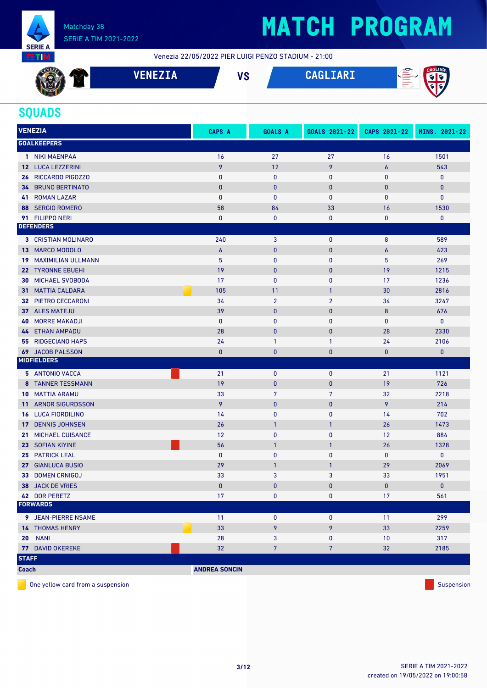

# **MATCH PROGRAM**

Venezia 22/05/2022 PIER LUIGI PENZO STADIUM - 21:00

|     | ___ | VÕ<br>v J | $\mathbf{A} \mathbf{B} \mathbf{A} \mathbf{B}$<br>. . | ∞<br>۱AR۱<br>$-$<br>$=$ |
|-----|-----|-----------|------------------------------------------------------|-------------------------|
| . . |     |           |                                                      | . .                     |

### **SQUADS**

| <b>VENEZIA</b>                             | <b>CAPS A</b>        | <b>GOALS A</b>  | GOALS 2021-22  | CAPS 2021-22     | MINS. 2021-22 |
|--------------------------------------------|----------------------|-----------------|----------------|------------------|---------------|
| <b>GOALKEEPERS</b>                         |                      |                 |                |                  |               |
| 1 NIKI MAENPAA                             | 16                   | 27              | 27             | 16               | 1501          |
| 12 LUCA LEZZERINI                          | 9                    | 12              | 9              | $\boldsymbol{6}$ | 543           |
| RICCARDO PIGOZZO<br>26                     | $\mathbf{0}$         | $\pmb{0}$       | 0              | 0                | $\pmb{0}$     |
| <b>BRUNO BERTINATO</b><br>34               | $\mathbf{0}$         | $\mathbf{0}$    | $\mathbf{0}$   | 0                | $\mathbf{0}$  |
| <b>ROMAN LAZAR</b><br>41                   | $\mathbf{0}$         | $\mathbf{0}$    | 0              | $\mathbf{0}$     | $\pmb{0}$     |
| <b>SERGIO ROMERO</b><br>88                 | 58                   | 84              | 33             | 16               | 1530          |
| 91 FILIPPO NERI                            | 0                    | 0               | 0              | 0                | $\pmb{0}$     |
| <b>DEFENDERS</b>                           |                      |                 |                |                  |               |
| <b>3 CRISTIAN MOLINARO</b>                 | 240                  | $\mathbf{3}$    | 0              | 8                | 589           |
| <b>MARCO MODOLO</b><br>13.                 | $\overline{6}$       | $\mathbf{0}$    | $\mathbf{0}$   | $\boldsymbol{6}$ | 423           |
| <b>MAXIMILIAN ULLMANN</b><br>19            | 5                    | $\mathbf{0}$    | 0              | 5                | 269           |
| 22 TYRONNE EBUEHI                          | 19                   | $\bf{0}$        | $\pmb{0}$      | 19               | 1215          |
| MICHAEL SVOBODA<br>30                      | 17                   | $\mathbf{0}$    | 0              | 17               | 1236          |
| <b>MATTIA CALDARA</b><br>31.               | 105                  | 11              | $\mathbf{1}$   | 30               | 2816          |
| PIETRO CECCARONI<br>32                     | 34                   | $\overline{2}$  | $\overline{2}$ | 34               | 3247          |
| 37 ALES MATEJU                             | 39                   | $\mathbf{0}$    | $\pmb{0}$      | 8                | 676           |
| <b>MORRE MAKADJI</b><br>40                 | $\mathbf{0}$         | $\mathbf{0}$    | 0              | 0                | 0             |
| <b>ETHAN AMPADU</b><br>44                  | 28                   | $\mathbf{0}$    | $\bf{0}$       | 28               | 2330          |
| <b>RIDGECIANO HAPS</b><br>55               | 24                   | $\mathbf{1}$    | 1              | 24               | 2106          |
| 69 JACOB PALSSON                           | $\mathbf{0}$         | $\mathbf{0}$    | $\bf{0}$       | $\mathbf{0}$     | $\mathbf{0}$  |
| <b>MIDFIELDERS</b>                         |                      |                 |                |                  |               |
| 5 ANTONIO VACCA                            | 21                   | $\bf{0}$        | 0              | 21               | 1121          |
| 8 TANNER TESSMANN                          | 19                   | $\mathbf{0}$    | $\bf{0}$       | 19               | 726           |
| <b>10 MATTIA ARAMU</b>                     | 33                   | $7\phantom{.0}$ | $\overline{7}$ | 32               | 2218          |
| <b>ARNOR SIGURDSSON</b><br>11 <sup>1</sup> | 9                    | $\mathbf{0}$    | $\bf{0}$       | 9                | 214           |
| <b>LUCA FIORDILINO</b><br>16               | 14                   | $\mathbf{0}$    | 0              | 14               | 702           |
| <b>DENNIS JOHNSEN</b><br>17                | 26                   | $\mathbf{1}$    | $\mathbf{1}$   | 26               | 1473          |
| MICHAEL CUISANCE<br>21                     | 12                   | $\mathbf{0}$    | 0              | 12               | 884           |
| <b>SOFIAN KIYINE</b><br>23                 | 56                   | $\mathbf{1}$    | $\mathbf{1}$   | 26               | 1328          |
| <b>PATRICK LEAL</b><br>25                  | $\mathbf{0}$         | $\mathbf{0}$    | 0              | 0                | 0             |
| <b>GIANLUCA BUSIO</b><br>27                | 29                   | $\mathbf{1}$    | $\mathbf{1}$   | 29               | 2069          |
| <b>DOMEN CRNIGOJ</b><br>33                 | 33                   | 3               | 3              | 33               | 1951          |
| 38 JACK DE VRIES                           | $\mathbf{0}$         | $\mathbf{0}$    | $\mathbf{0}$   | $\mathbf{0}$     | $\mathbf{0}$  |
| 42 DOR PERETZ                              | 17                   | $\pmb{0}$       | 0              | 17               | 561           |
| <b>FORWARDS</b>                            |                      |                 |                |                  |               |
| 9 JEAN-PIERRE NSAME                        | 11                   | $\pmb{0}$       | 0              | 11               | 299           |
| <b>14 THOMAS HENRY</b>                     | 33                   | 9               | 9              | 33               | 2259          |
| <b>20 NANI</b>                             | 28                   | 3               | 0              | 10               | 317           |
| 77 DAVID OKEREKE                           | 32                   | $\overline{7}$  | $\overline{7}$ | 32               | 2185          |
| <b>STAFF</b>                               |                      |                 |                |                  |               |
| <b>Coach</b>                               | <b>ANDREA SONCIN</b> |                 |                |                  |               |

One yellow card from a suspension Suspension Suspension Suspension Suspension Suspension Suspension Suspension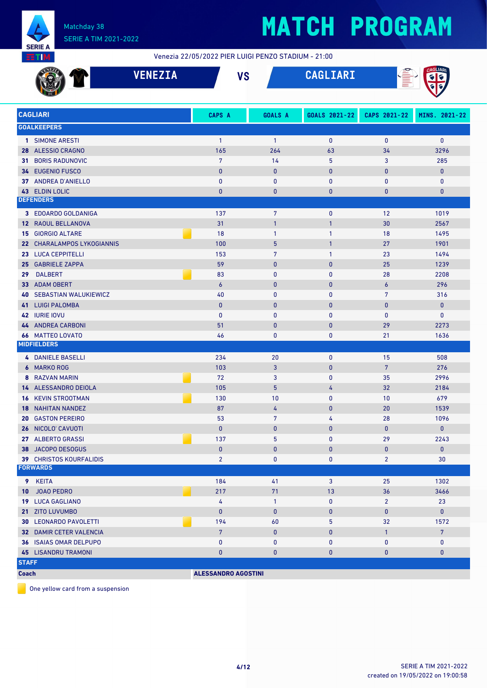

Venezia 22/05/2022 PIER LUIGI PENZO STADIUM - 21:00

|                 |                                                             | <b>VENEZIA</b> |                            | <b>VS</b> |                   | CAGLIARI          | Î              | CAGLIARI          |
|-----------------|-------------------------------------------------------------|----------------|----------------------------|-----------|-------------------|-------------------|----------------|-------------------|
|                 | <b>CAGLIARI</b>                                             |                | CAPS A                     |           | GOALS A           | GOALS 2021-22     | CAPS 2021-22   | MINS. 2021-22     |
|                 | <b>GOALKEEPERS</b>                                          |                |                            |           |                   |                   |                |                   |
|                 | 1 SIMONE ARESTI                                             |                | $\mathbf{1}$               |           | $\mathbf{1}$      | $\mathbf 0$       | $\pmb{0}$      | $\mathbf{0}$      |
| 28              | <b>ALESSIO CRAGNO</b>                                       |                | 165                        |           | 264               | 63                | 34             | 3296              |
| 31.             | <b>BORIS RADUNOVIC</b>                                      |                | $\overline{7}$             |           | 14                | 5                 | 3              | 285               |
|                 | 34 EUGENIO FUSCO                                            |                | $\mathbf{0}$               |           | $\pmb{0}$         | $\mathbf{0}$      | 0              | $\mathbf{0}$      |
|                 | 37 ANDREA D'ANIELLO                                         |                | $\mathbf{0}$               |           | $\mathbf{0}$      | $\mathbf{0}$      | 0              | 0                 |
| 43              | <b>ELDIN LOLIC</b>                                          |                | $\mathbf{0}$               |           | $\mathbf{0}$      | $\bf{0}$          | 0              | $\bf{0}$          |
|                 | <b>DEFENDERS</b>                                            |                |                            |           |                   |                   |                |                   |
|                 | 3 EDOARDO GOLDANIGA                                         |                | 137                        |           | $\overline{7}$    | $\mathbf 0$       | 12             | 1019              |
| 12              | RAOUL BELLANOVA                                             |                | 31                         |           | $\overline{1}$    | $\mathbf{1}$      | 30             | 2567              |
| 15              | <b>GIORGIO ALTARE</b>                                       |                | 18                         |           | $\mathbf{1}$      | $\mathbf{1}$      | 18             | 1495              |
| 22 <sub>2</sub> | <b>CHARALAMPOS LYKOGIANNIS</b>                              |                | 100                        |           | 5                 | $\mathbf{1}$      | 27             | 1901              |
|                 | 23 LUCA CEPPITELLI                                          |                | 153                        |           | $\overline{7}$    | $\mathbf{1}$      | 23             | 1494              |
| 25 <sub>1</sub> | <b>GABRIELE ZAPPA</b>                                       |                | 59                         |           | $\mathbf{0}$      | $\mathbf{0}$      | 25             | 1239              |
| 29              | <b>DALBERT</b>                                              |                | 83                         |           | $\mathbf{0}$      | $\mathbf{0}$      | 28             | 2208              |
| 33              | <b>ADAM OBERT</b>                                           |                | $\boldsymbol{6}$           |           | $\bf{0}$          | $\mathbf{0}$      | 6              | 296               |
| 40              | <b>SEBASTIAN WALUKIEWICZ</b>                                |                | 40                         |           | $\bf{0}$          | $\mathbf{0}$      | $\overline{7}$ | 316               |
|                 | 41 LUIGI PALOMBA                                            |                | $\mathbf{0}$               |           | $\mathbf{0}$      | $\mathbf{0}$      | $\mathbf{0}$   | $\mathbf{0}$      |
|                 | 42 IURIE IOVU                                               |                | $\mathbf{0}$               |           | $\mathbf{0}$      | $\mathbf{0}$      | 0              | 0                 |
|                 | 44 ANDREA CARBONI                                           |                | 51                         |           | $\mathbf{0}$      | $\mathbf{0}$      | 29             | 2273              |
|                 | <b>66 MATTEO LOVATO</b>                                     |                | 46                         |           | 0                 | $\mathbf 0$       | 21             | 1636              |
|                 | <b>MIDFIELDERS</b>                                          |                |                            |           |                   |                   |                |                   |
|                 | 4 DANIELE BASELLI                                           |                | 234                        |           | 20                | $\mathbf 0$       | 15             | 508               |
|                 | 6 MARKO ROG                                                 |                | 103                        |           | $\mathbf{3}$      | $\mathbf{0}$      | $\overline{7}$ | 276               |
| 8               | <b>RAZVAN MARIN</b>                                         |                | 72                         |           | 3                 | $\mathbf{0}$      | 35             | 2996              |
|                 | 14 ALESSANDRO DEIOLA                                        |                | 105                        |           | 5                 | 4                 | 32             | 2184              |
| 16              | <b>KEVIN STROOTMAN</b>                                      |                | 130                        |           | 10                | $\mathbf{0}$      | 10             | 679               |
| 18              | <b>NAHITAN NANDEZ</b>                                       |                | 87                         |           | 4                 | $\mathbf{0}$      | 20             | 1539              |
|                 | <b>20 GASTON PEREIRO</b>                                    |                | 53                         |           | $\overline{7}$    | 4                 | 28             | 1096              |
|                 | 26 NICOLO' CAVUOTI                                          |                | $\mathbf{0}$               |           | $\mathbf{0}$      | $\mathbf{0}$      | $\mathbf{0}$   | $\mathbf{0}$      |
|                 | 27 ALBERTO GRASSI                                           |                | 137                        |           | 5                 | $\mathbf 0$       | 29             | 2243              |
|                 | 38 JACOPO DESOGUS                                           |                | $\mathbf{0}$               |           | $\bf{0}$          | $\mathbf{0}$      | 0              | $\mathbf{0}$      |
|                 | <b>39 CHRISTOS KOURFALIDIS</b><br><b>FORWARDS</b>           |                | $\overline{2}$             |           | 0                 | $\mathbf 0$       | $\overline{2}$ | 30                |
|                 |                                                             |                |                            |           |                   |                   |                |                   |
|                 | 9 KEITA                                                     |                | 184                        |           | 41                | 3                 | 25             | 1302              |
| 10              | <b>JOAO PEDRO</b>                                           |                | 217                        |           | 71                | 13                | 36             | 3466              |
|                 | 19 LUCA GAGLIANO                                            |                | 4                          |           | $\mathbf{1}$      | $\mathbf 0$       | $\overline{2}$ | 23                |
|                 | 21 ZITO LUVUMBO                                             |                | $\mathbf{0}$               |           | $\pmb{0}$         | $\bf{0}$          | 0              | $\mathbf{0}$      |
|                 | <b>30 LEONARDO PAVOLETTI</b>                                |                | 194                        |           | 60                | 5                 | 32             | 1572              |
|                 | 32 DAMIR CETER VALENCIA                                     |                | $7\phantom{.}$             |           | $\pmb{0}$         | $\bf{0}$          | $\mathbf{1}$   | $7\overline{ }$   |
|                 | <b>36 ISAIAS OMAR DELPUPO</b><br><b>45 LISANDRU TRAMONI</b> |                | $\pmb{0}$<br>$\mathbf{0}$  |           | 0<br>$\mathbf{0}$ | 0<br>$\mathbf{0}$ | 0<br>0         | 0<br>$\mathbf{0}$ |
| <b>STAFF</b>    |                                                             |                |                            |           |                   |                   |                |                   |
| <b>Coach</b>    |                                                             |                | <b>ALESSANDRO AGOSTINI</b> |           |                   |                   |                |                   |
|                 |                                                             |                |                            |           |                   |                   |                |                   |

One yellow card from a suspension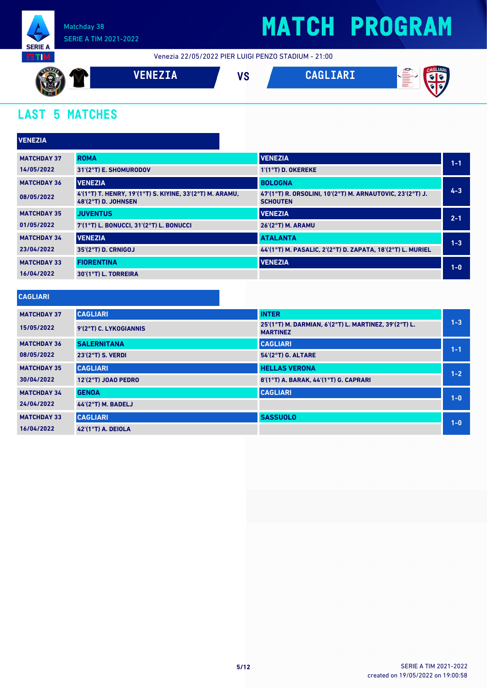

Venezia 22/05/2022 PIER LUIGI PENZO STADIUM - 21:00



### **LAST 5 MATCHES**

| <b>VENEZIA</b>     |                                                                                        |                                                                              |         |
|--------------------|----------------------------------------------------------------------------------------|------------------------------------------------------------------------------|---------|
| <b>MATCHDAY 37</b> | <b>ROMA</b>                                                                            | <b>VENEZIA</b>                                                               | $1 - 1$ |
| 14/05/2022         | 31'(2°T) E. SHOMURODOV                                                                 | $1'(1°T)$ D. OKEREKE                                                         |         |
| <b>MATCHDAY 36</b> | <b>VENEZIA</b>                                                                         | <b>BOLOGNA</b>                                                               |         |
| 08/05/2022         | 4'(1°T) T. HENRY, 19'(1°T) S. KIYINE, 33'(2°T) M. ARAMU,<br><b>48'(2°T) D. JOHNSEN</b> | 47'(1°T) R. ORSOLINI, 10'(2°T) M. ARNAUTOVIC, 23'(2°T) J.<br><b>SCHOUTEN</b> | $4 - 3$ |
| <b>MATCHDAY 35</b> | <b>JUVENTUS</b>                                                                        | <b>VENEZIA</b>                                                               | $2 - 1$ |
| 01/05/2022         | 7'(1°T) L. BONUCCI, 31'(2°T) L. BONUCCI                                                | 26'(2°T) M. ARAMU                                                            |         |
| <b>MATCHDAY 34</b> | <b>VENEZIA</b>                                                                         | <b>ATALANTA</b>                                                              | $1 - 3$ |
| 23/04/2022         | 35'(2°T) D. CRNIGOJ                                                                    | 44'(1°T) M. PASALIC, 2'(2°T) D. ZAPATA, 18'(2°T) L. MURIEL                   |         |
| <b>MATCHDAY 33</b> | <b>FIORENTINA</b>                                                                      | <b>VENEZIA</b>                                                               | $1-0$   |
| 16/04/2022         | 30'(1°T) L. TORREIRA                                                                   |                                                                              |         |
| <b>CAGLIARI</b>    |                                                                                        |                                                                              |         |
| <b>MATCHDAY 37</b> | <b>CAGLIARI</b>                                                                        | <b>INTER</b>                                                                 |         |
| 15/05/2022         | 9'(2°T) C. LYKOGIANNIS                                                                 | 25'(1°T) M. DARMIAN, 6'(2°T) L. MARTINEZ, 39'(2°T) L.<br><b>MARTINEZ</b>     | $1 - 3$ |
| <b>MATCHDAY 36</b> | <b>SALERNITANA</b>                                                                     | <b>CAGLIARI</b>                                                              | $1 - 1$ |
| 08/05/2022         | $23'(2°T)$ S VERNI                                                                     | $54'(2°T)$ G AI TARE                                                         |         |

| 08/05/2022         | $23'(2°T)$ S. VERDI   | 54'(2°T) G. ALTARE                    | $1 - 1$ |
|--------------------|-----------------------|---------------------------------------|---------|
| <b>MATCHDAY 35</b> | <b>CAGLIARI</b>       | <b>HELLAS VERONA</b>                  | $1 - 2$ |
| 30/04/2022         | $12'(2°T)$ JOAO PEDRO | 8'(1°T) A. BARAK, 44'(1°T) G. CAPRARI |         |
| <b>MATCHDAY 34</b> | <b>GENOA</b>          | <b>CAGLIARI</b>                       | $1 - 0$ |
| 24/04/2022         | $44'(2°T)$ M. BADELJ  |                                       |         |
| <b>MATCHDAY 33</b> | <b>CAGLIARI</b>       | <b>SASSUOLO</b>                       | $1 - 0$ |
| 16/04/2022         | $42'(1°T)$ A. DEIOLA  |                                       |         |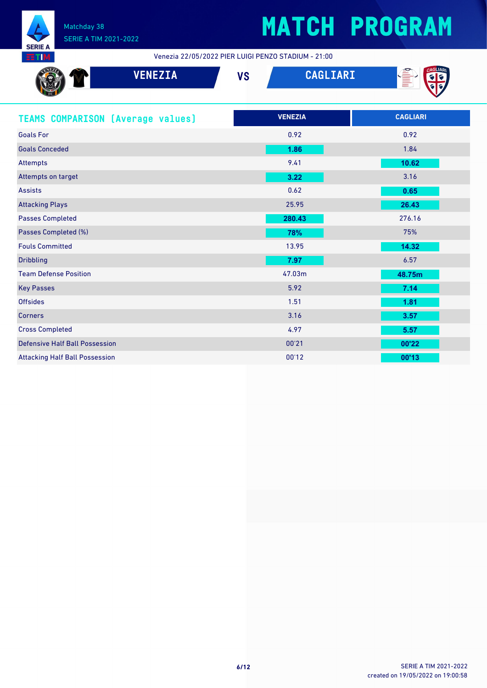

Venezia 22/05/2022 PIER LUIGI PENZO STADIUM - 21:00

| <b>VENEZIA</b>                           | <b>VS</b> | <b>CAGLIARI</b> | <b>AGLIAI</b><br>É |
|------------------------------------------|-----------|-----------------|--------------------|
| <b>TEAMS COMPARISON (Average values)</b> |           | <b>VENEZIA</b>  | <b>CAGLIARI</b>    |
| <b>Goals For</b>                         |           | 0.92            | 0.92               |
| <b>Goals Conceded</b>                    |           | 1.86            | 1.84               |
| <b>Attempts</b>                          |           | 9.41            | 10.62              |
| Attempts on target                       |           | 3.22            | 3.16               |
| <b>Assists</b>                           |           | 0.62            | 0.65               |
| <b>Attacking Plays</b>                   |           | 25.95           | 26.43              |
| <b>Passes Completed</b>                  |           | 280.43          | 276.16             |
| Passes Completed (%)                     |           | 78%             | 75%                |
| <b>Fouls Committed</b>                   |           | 13.95           | 14.32              |
| <b>Dribbling</b>                         |           | 7.97            | 6.57               |
| <b>Team Defense Position</b>             |           | 47.03m          | 48.75m             |
| <b>Key Passes</b>                        |           | 5.92            | 7.14               |
| <b>Offsides</b>                          |           | 1.51            | 1.81               |
| <b>Corners</b>                           |           | 3.16            | 3.57               |
| <b>Cross Completed</b>                   |           | 4.97            | 5.57               |
| <b>Defensive Half Ball Possession</b>    |           | 00'21           | 00'22              |
| <b>Attacking Half Ball Possession</b>    |           | 00'12           | 00'13              |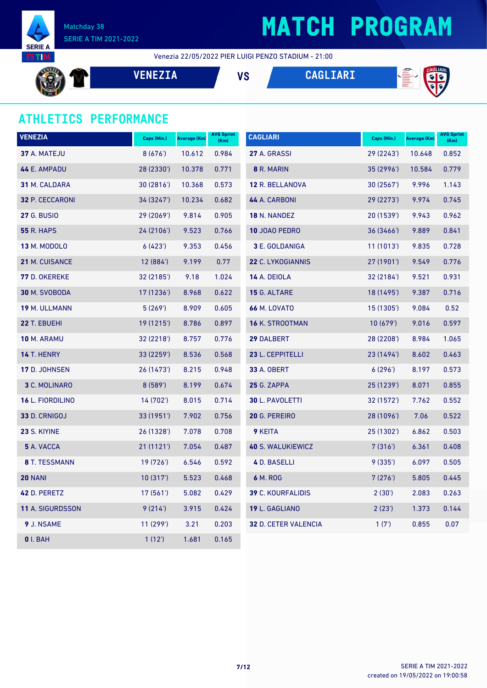

## **MATCH PROGRAM**

Venezia 22/05/2022 PIER LUIGI PENZO STADIUM - 21:00

**VENEZIA VS CAGLIARI**



### **ATHLETICS PERFORMANCE**

| <b>VENEZIA</b>       | Caps (Min.) | <b>Average (Km)</b> | <b>AVG Sprint</b><br>(Km) | <b>CAGLIARI</b>             | Caps (Min.) | Average (Km) | <b>AVG Sprint</b><br>(Km) |
|----------------------|-------------|---------------------|---------------------------|-----------------------------|-------------|--------------|---------------------------|
| 37 A. MATEJU         | 8(676)      | 10.612              | 0.984                     | 27 A. GRASSI                | 29 (2243')  | 10.648       | 0.852                     |
| 44 E. AMPADU         | 28 (2330')  | 10.378              | 0.771                     | 8 R. MARIN                  | 35(2996)    | 10.584       | 0.779                     |
| 31 M. CALDARA        | 30(2816)    | 10.368              | 0.573                     | 12 R. BELLANOVA             | 30(2567)    | 9.996        | 1.143                     |
| 32 P. CECCARONI      | 34 (3247')  | 10.234              | 0.682                     | 44 A. CARBONI               | 29 (2273')  | 9.974        | 0.745                     |
| <b>27 G. BUSIO</b>   | 29 (2069')  | 9.814               | 0.905                     | <b>18 N. NANDEZ</b>         | 20 (1539')  | 9.943        | 0.962                     |
| <b>55 R. HAPS</b>    | 24 (2106')  | 9.523               | 0.766                     | 10 JOAO PEDRO               | 36(3466)    | 9.889        | 0.841                     |
| <b>13 M. MODOLO</b>  | 6(423)      | 9.353               | 0.456                     | 3 E. GOLDANIGA              | 11(1013)    | 9.835        | 0.728                     |
| 21 M. CUISANCE       | 12 (884')   | 9.199               | 0.77                      | 22 C. LYKOGIANNIS           | 27 (1901')  | 9.549        | 0.776                     |
| <b>77 D. OKEREKE</b> | 32 (2185')  | 9.18                | 1.024                     | 14 A. DEIOLA                | 32(2184)    | 9.521        | 0.931                     |
| 30 M. SVOBODA        | 17(1236)    | 8.968               | 0.622                     | 15 G. ALTARE                | 18 (1495')  | 9.387        | 0.716                     |
| 19 M. ULLMANN        | 5(269)      | 8.909               | 0.605                     | <b>66 M. LOVATO</b>         | 15(1305)    | 9.084        | 0.52                      |
| 22 T. EBUEHI         | 19 (1215')  | 8.786               | 0.897                     | 16 K. STROOTMAN             | 10(679)     | 9.016        | 0.597                     |
| 10 M. ARAMU          | 32 (2218')  | 8.757               | 0.776                     | 29 DALBERT                  | 28 (2208')  | 8.984        | 1.065                     |
| <b>14 T. HENRY</b>   | 33 (2259')  | 8.536               | 0.568                     | 23 L. CEPPITELLI            | 23 (1494')  | 8.602        | 0.463                     |
| 17 D. JOHNSEN        | 26 (1473')  | 8.215               | 0.948                     | 33 A. OBERT                 | 6(296)      | 8.197        | 0.573                     |
| 3 C. MOLINARO        | 8(589)      | 8.199               | 0.674                     | <b>25 G. ZAPPA</b>          | 25 (1239')  | 8.071        | 0.855                     |
| 16 L. FIORDILINO     | 14 (702')   | 8.015               | 0.714                     | <b>30 L. PAVOLETTI</b>      | 32 (1572')  | 7.762        | 0.552                     |
| 33 D. CRNIGOJ        | 33 (1951')  | 7.902               | 0.756                     | 20 G. PEREIRO               | 28 (1096')  | 7.06         | 0.522                     |
| 23 S. KIYINE         | 26 (1328')  | 7.078               | 0.708                     | <b>9 KEITA</b>              | 25 (1302')  | 6.862        | 0.503                     |
| 5 A. VACCA           | 21(1121)    | 7.054               | 0.487                     | <b>40 S. WALUKIEWICZ</b>    | 7(316)      | 6.361        | 0.408                     |
| 8 T. TESSMANN        | 19 (726')   | 6.546               | 0.592                     | 4 D. BASELLI                | 9 (335')    | 6.097        | 0.505                     |
| <b>20 NANI</b>       | 10(317)     | 5.523               | 0.468                     | 6 M. ROG                    | 7(276)      | 5.805        | 0.445                     |
| 42 D. PERETZ         | 17 (561')   | 5.082               | 0.429                     | 39 C. KOURFALIDIS           | 2(30')      | 2.083        | 0.263                     |
| 11 A. SIGURDSSON     | 9(214)      | 3.915               | 0.424                     | 19 L. GAGLIANO              | 2(23')      | 1.373        | 0.144                     |
| 9 J. NSAME           | 11(299)     | 3.21                | 0.203                     | <b>32 D. CETER VALENCIA</b> | 1(7)        | 0.855        | 0.07                      |
| <b>0</b> I. BAH      | 1(12)       | 1.681               | 0.165                     |                             |             |              |                           |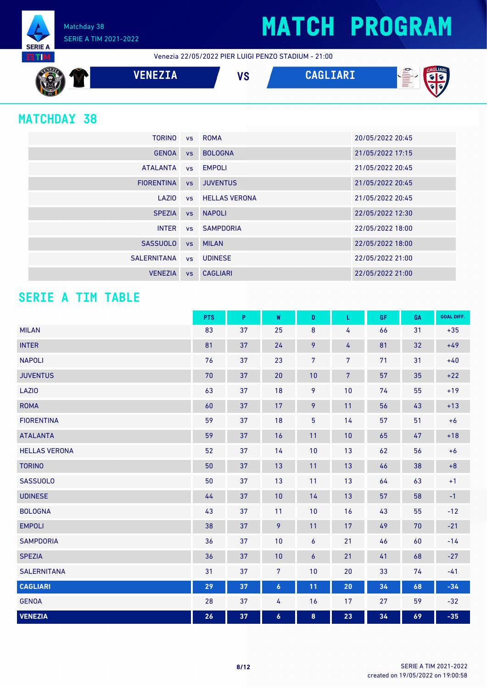Matchday 38 SERIE A TIM 2021-2022

Venezia 22/05/2022 PIER LUIGI PENZO STADIUM - 21:00



### **MATCHDAY 38**

**SERIE A** 5 T I

| <b>TORINO</b>     |           | vs ROMA                 | 20/05/2022 20:45 |
|-------------------|-----------|-------------------------|------------------|
| <b>GENOA</b>      | <b>VS</b> | <b>BOLOGNA</b>          | 21/05/2022 17:15 |
| <b>ATALANTA</b>   |           | vs EMPOLI               | 21/05/2022 20:45 |
| <b>FIORENTINA</b> | <b>VS</b> | <b>JUVENTUS</b>         | 21/05/2022 20:45 |
| LAZIO             |           | <b>vs</b> HELLAS VERONA | 21/05/2022 20:45 |
| <b>SPEZIA</b>     | <b>VS</b> | <b>NAPOLI</b>           | 22/05/2022 12:30 |
| <b>INTER</b>      |           | <b>vs</b> SAMPDORIA     | 22/05/2022 18:00 |
| <b>SASSUOLO</b>   | <b>VS</b> | <b>MILAN</b>            | 22/05/2022 18:00 |
| SALERNITANA       |           | vs UDINESE              | 22/05/2022 21:00 |
| <b>VENEZIA</b>    | <b>VS</b> | <b>CAGLIARI</b>         | 22/05/2022 21:00 |

### **SERIE A TIM TABLE**

|                      | <b>PTS</b> | P  | W                | D              | L               | GF. | GA | <b>GOAL DIFF.</b> |
|----------------------|------------|----|------------------|----------------|-----------------|-----|----|-------------------|
| <b>MILAN</b>         | 83         | 37 | 25               | $\bf 8$        | 4               | 66  | 31 | $+35$             |
| <b>INTER</b>         | 81         | 37 | 24               | 9              | 4               | 81  | 32 | $+49$             |
| <b>NAPOLI</b>        | 76         | 37 | 23               | $\overline{7}$ | $7\overline{ }$ | 71  | 31 | $+40$             |
| <b>JUVENTUS</b>      | 70         | 37 | 20               | 10             | $\overline{7}$  | 57  | 35 | $+22$             |
| LAZI0                | 63         | 37 | 18               | 9              | 10              | 74  | 55 | $+19$             |
| <b>ROMA</b>          | 60         | 37 | 17               | 9              | 11              | 56  | 43 | $+13$             |
| <b>FIORENTINA</b>    | 59         | 37 | 18               | 5              | 14              | 57  | 51 | $+6$              |
| <b>ATALANTA</b>      | 59         | 37 | 16               | 11             | 10              | 65  | 47 | $+18$             |
| <b>HELLAS VERONA</b> | 52         | 37 | 14               | 10             | 13              | 62  | 56 | $+6$              |
| <b>TORINO</b>        | 50         | 37 | 13               | 11             | 13              | 46  | 38 | $+8$              |
| <b>SASSUOLO</b>      | 50         | 37 | 13               | 11             | 13              | 64  | 63 | $+1$              |
| <b>UDINESE</b>       | 44         | 37 | 10               | 14             | 13              | 57  | 58 | $-1$              |
| <b>BOLOGNA</b>       | 43         | 37 | 11               | 10             | 16              | 43  | 55 | $-12$             |
| <b>EMPOLI</b>        | 38         | 37 | 9                | 11             | 17              | 49  | 70 | $-21$             |
| <b>SAMPDORIA</b>     | 36         | 37 | 10               | 6              | 21              | 46  | 60 | $-14$             |
| <b>SPEZIA</b>        | 36         | 37 | 10               | 6              | 21              | 41  | 68 | $-27$             |
| <b>SALERNITANA</b>   | 31         | 37 | $7\overline{ }$  | 10             | 20              | 33  | 74 | $-41$             |
| <b>CAGLIARI</b>      | 29         | 37 | $\boldsymbol{6}$ | 11             | 20              | 34  | 68 | $-34$             |
| <b>GENOA</b>         | 28         | 37 | 4                | 16             | 17              | 27  | 59 | $-32$             |
| <b>VENEZIA</b>       | 26         | 37 | $\boldsymbol{6}$ | 8              | 23              | 34  | 69 | $-35$             |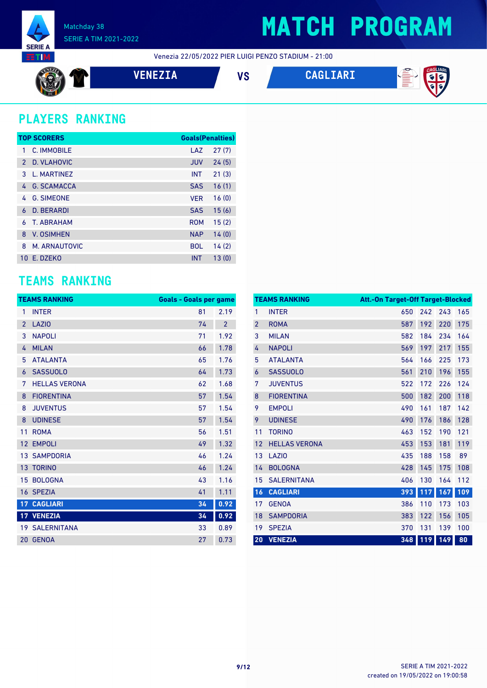

Venezia 22/05/2022 PIER LUIGI PENZO STADIUM - 21:00

$$
\bigcircled{\mathbf{r}}
$$

**VENEZIA VS CAGLIARI**





### **PLAYERS RANKING**

|               | <b>TOP SCORERS</b> | <b>Goals(Penalties)</b> |       |
|---------------|--------------------|-------------------------|-------|
| 1             | C. IMMOBILE        | LAZ                     | 27(7) |
| $\mathcal{P}$ | D. VLAHOVIC        | <b>JUV</b>              | 24(5) |
| 3             | L. MARTINEZ        | <b>INT</b>              | 21(3) |
| 4             | <b>G. SCAMACCA</b> | <b>SAS</b>              | 16(1) |
| 4             | <b>G. SIMEONE</b>  | <b>VER</b>              | 16(0) |
| 6             | <b>D. BERARDI</b>  | <b>SAS</b>              | 15(6) |
| 6             | T. ARRAHAM         | <b>ROM</b>              | 15(2) |
| $\mathsf{R}$  | <b>V. OSIMHEN</b>  | <b>NAP</b>              | 14(0) |
| 8             | M. ARNAUTOVIC      | <b>BOL</b>              | 14(2) |
|               | 10 F. DZFKO        | <b>INT</b>              | 13(0) |

### **TEAMS RANKING**

|                | <b>TEAMS RANKING</b>  | <b>Goals - Goals per game</b> |                |
|----------------|-----------------------|-------------------------------|----------------|
| 1              | <b>INTER</b>          | 81                            | 2.19           |
| $\overline{2}$ | <b>LAZIO</b>          | 74                            | $\overline{2}$ |
| 3              | <b>NAPOLI</b>         | 71                            | 1.92           |
| 4              | <b>MILAN</b>          | 66                            | 1.78           |
| 5              | <b>ATALANTA</b>       | 65                            | 1.76           |
| 6              | <b>SASSUOLO</b>       | 64                            | 1.73           |
| 7              | <b>HELLAS VERONA</b>  | 62                            | 1.68           |
| 8              | <b>FIORENTINA</b>     | 57                            | 1.54           |
| 8              | <b>JUVENTUS</b>       | 57                            | 1.54           |
| 8              | <b>UDINESE</b>        | 57                            | 1.54           |
| 11             | <b>ROMA</b>           | 56                            | 1.51           |
| 12             | <b>EMPOLI</b>         | 49                            | 1.32           |
| 13             | <b>SAMPDORIA</b>      | 46                            | 1.24           |
| 13             | <b>TORINO</b>         | 46                            | 1.24           |
| 15             | <b>BOLOGNA</b>        | 43                            | 1.16           |
| 16             | <b>SPEZIA</b>         | 41                            | 1.11           |
| 17             | <b>CAGLIARI</b>       | 34                            | 0.92           |
| 17             | <b>VENEZIA</b>        | 34                            | 0.92           |
|                | <b>19 SALERNITANA</b> | 33                            | 0.89           |
| 20             | <b>GENOA</b>          | 27                            | 0.73           |

|                | <b>TEAMS RANKING</b> | Att.-On Target-Off Target-Blocked |     |     |     |
|----------------|----------------------|-----------------------------------|-----|-----|-----|
| 1              | <b>INTER</b>         | 650                               | 242 | 243 | 165 |
| $\overline{2}$ | <b>ROMA</b>          | 587                               | 192 | 220 | 175 |
| 3              | <b>MILAN</b>         | 582                               | 184 | 234 | 164 |
| 4              | <b>NAPOLI</b>        | 569                               | 197 | 217 | 155 |
| 5              | <b>ATALANTA</b>      | 564                               | 166 | 225 | 173 |
| 6              | <b>SASSUOLO</b>      | 561                               | 210 | 196 | 155 |
| 7              | <b>JUVENTUS</b>      | 522                               | 172 | 226 | 124 |
| 8              | <b>FIORENTINA</b>    | 500                               | 182 | 200 | 118 |
| 9              | <b>EMPOLI</b>        | 490                               | 161 | 187 | 142 |
| 9              | <b>UDINESE</b>       | 490                               | 176 | 186 | 128 |
| 11             | <b>TORINO</b>        | 463                               | 152 | 190 | 121 |
| 12             | <b>HELLAS VERONA</b> | 453                               | 153 | 181 | 119 |
| 13             | LAZI <sub>0</sub>    | 435                               | 188 | 158 | 89  |
| 14             | <b>BOLOGNA</b>       | 428                               | 145 | 175 | 108 |
| 15             | <b>SALERNITANA</b>   | 406                               | 130 | 164 | 112 |
| 16             | <b>CAGLIARI</b>      | 393                               | 117 | 167 | 109 |
| 17             | <b>GENOA</b>         | 386                               | 110 | 173 | 103 |
| 18             | <b>SAMPDORIA</b>     | 383                               | 122 | 156 | 105 |
| 19             | <b>SPEZIA</b>        | 370                               | 131 | 139 | 100 |
| 20             | <b>VENEZIA</b>       | 348                               | 119 | 149 | 80  |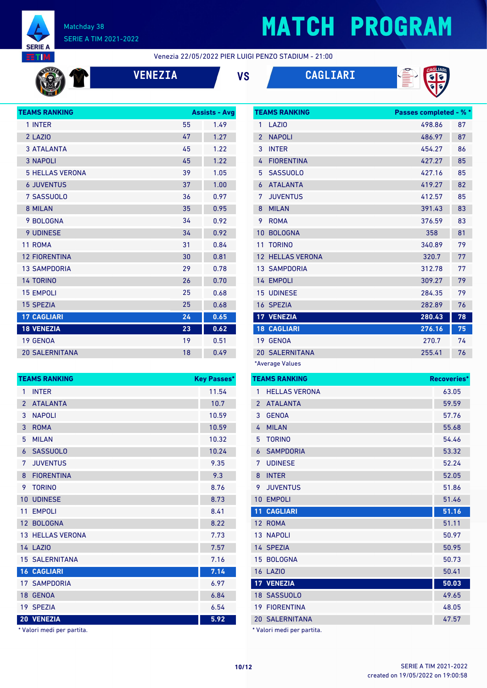

# **MATCH PROGRAM**

Venezia 22/05/2022 PIER LUIGI PENZO STADIUM - 21:00







| <b>TEAMS RANKING</b>   |    | <b>Assists - Avg</b> |  |
|------------------------|----|----------------------|--|
| 1 INTER                | 55 | 1.49                 |  |
| 2 LAZIO                | 47 | 1.27                 |  |
| <b>3 ATALANTA</b>      | 45 | 1.22                 |  |
| <b>3 NAPOLI</b>        | 45 | 1.22                 |  |
| <b>5 HELLAS VERONA</b> | 39 | 1.05                 |  |
| <b>6 JUVENTUS</b>      | 37 | 1.00                 |  |
| 7 SASSUOLO             | 36 | 0.97                 |  |
| 8 MILAN                | 35 | 0.95                 |  |
| 9 BOLOGNA              | 34 | 0.92                 |  |
| <b>9 UDINESE</b>       | 34 | 0.92                 |  |
| 11 ROMA                | 31 | 0.84                 |  |
| <b>12 FIORENTINA</b>   | 30 | 0.81                 |  |
| <b>13 SAMPDORIA</b>    | 29 | 0.78                 |  |
| <b>14 TORINO</b>       | 26 | 0.70                 |  |
| <b>15 EMPOLI</b>       | 25 | 0.68                 |  |
| <b>15 SPEZIA</b>       | 25 | 0.68                 |  |
| <b>17 CAGLIARI</b>     | 24 | 0.65                 |  |
| <b>18 VENEZIA</b>      | 23 | 0.62                 |  |
| 19 GENOA               | 19 | 0.51                 |  |
| <b>20 SALERNITANA</b>  | 18 | 0.49                 |  |

|                 | <b>TEAMS RANKING</b><br><b>Key Passes*</b> |       |  |  |
|-----------------|--------------------------------------------|-------|--|--|
| 1               | <b>INTER</b>                               | 11.54 |  |  |
| $\overline{2}$  | <b>ATALANTA</b>                            | 10.7  |  |  |
| 3               | <b>NAPOLI</b>                              | 10.59 |  |  |
| 3               | <b>ROMA</b>                                | 10.59 |  |  |
| 5               | <b>MILAN</b>                               | 10.32 |  |  |
| 6               | <b>SASSUOLO</b>                            | 10.24 |  |  |
| 7               | <b>JUVENTUS</b>                            | 9.35  |  |  |
| 8               | <b>FIORENTINA</b>                          | 9.3   |  |  |
| 9               | <b>TORINO</b>                              | 8.76  |  |  |
| 10              | <b>UDINESE</b>                             | 8.73  |  |  |
| 11              | <b>EMPOLI</b>                              | 8.41  |  |  |
| 12 <sup>7</sup> | <b>BOLOGNA</b>                             | 8.22  |  |  |
|                 | <b>13 HELLAS VERONA</b>                    | 7.73  |  |  |
|                 | <b>14 LAZIO</b>                            | 7.57  |  |  |
|                 | <b>15 SALERNITANA</b>                      | 7.16  |  |  |
|                 | <b>16 CAGLIARI</b>                         | 7.14  |  |  |
|                 | <b>17 SAMPDORIA</b>                        | 6.97  |  |  |
| 18 <sup>°</sup> | <b>GENOA</b>                               | 6.84  |  |  |
|                 | 19 SPEZIA                                  | 6.54  |  |  |
|                 | 20 VENEZIA                                 | 5.92  |  |  |

\* Valori medi per partita.

|                | <b>TEAMS RANKING</b>  | <b>Passes completed - % *</b> |    |
|----------------|-----------------------|-------------------------------|----|
| 1              | LAZI <sub>0</sub>     | 498.86                        | 87 |
| $\overline{2}$ | <b>NAPOLI</b>         | 486.97                        | 87 |
| 3              | <b>INTER</b>          | 454.27                        | 86 |
| 4              | <b>FIORENTINA</b>     | 427.27                        | 85 |
| 5              | <b>SASSUOLO</b>       | 427.16                        | 85 |
| 6              | <b>ATALANTA</b>       | 419.27                        | 82 |
| 7              | <b>JUVENTUS</b>       | 412.57                        | 85 |
| 8              | <b>MILAN</b>          | 391.43                        | 83 |
| 9              | <b>ROMA</b>           | 376.59                        | 83 |
| 10             | <b>BOLOGNA</b>        | 358                           | 81 |
| 11             | <b>TORINO</b>         | 340.89                        | 79 |
| 12             | <b>HELLAS VERONA</b>  | 320.7                         | 77 |
|                | <b>13 SAMPDORIA</b>   | 312.78                        | 77 |
|                | 14 EMPOLI             | 309.27                        | 79 |
|                | <b>15 UDINESE</b>     | 284.35                        | 79 |
|                | 16 SPEZIA             | 282.89                        | 76 |
|                | 17 VENEZIA            | 280.43                        | 78 |
|                | <b>18 CAGLIARI</b>    | 276.16                        | 75 |
|                | 19 GENOA              | 270.7                         | 74 |
|                | <b>20 SALERNITANA</b> | 255.41                        | 76 |
|                | *Average Values       |                               |    |

|                | <b>TEAMS RANKING</b>       | Recoveries* |
|----------------|----------------------------|-------------|
| 1              | <b>HELLAS VERONA</b>       | 63.05       |
| $\overline{2}$ | <b>ATALANTA</b>            | 59.59       |
| 3              | <b>GENOA</b>               | 57.76       |
| 4              | <b>MILAN</b>               | 55.68       |
| 5              | <b>TORINO</b>              | 54.46       |
| 6              | <b>SAMPDORIA</b>           | 53.32       |
| 7              | <b>UDINESE</b>             | 52.24       |
| 8              | <b>INTER</b>               | 52.05       |
| 9              | <b>JUVENTUS</b>            | 51.86       |
| 10             | <b>EMPOLI</b>              | 51.46       |
| 11             | <b>CAGLIARI</b>            | 51.16       |
|                | 12 ROMA                    | 51.11       |
|                | <b>13 NAPOLI</b>           | 50.97       |
|                | 14 SPEZIA                  | 50.95       |
|                | 15 BOLOGNA                 | 50.73       |
|                | <b>16 LAZIO</b>            | 50.41       |
|                | 17 VENEZIA                 | 50.03       |
|                | 18 SASSUOLO                | 49.65       |
|                | <b>19 FIORENTINA</b>       | 48.05       |
|                | <b>20 SALERNITANA</b>      | 47.57       |
|                | * Valori medi per partita. |             |

created on 19/05/2022 on 19:00:58 **10/12** SERIE A TIM 2021-2022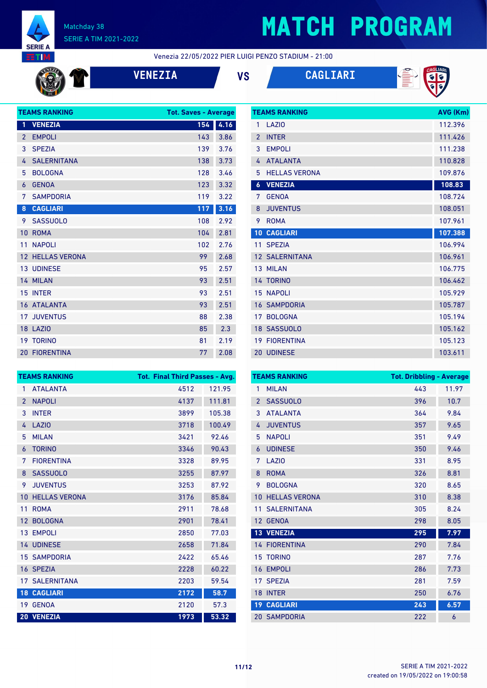

## **MATCH PROGRAM**

Venezia 22/05/2022 PIER LUIGI PENZO STADIUM - 21:00

| $\mathbf{w}_i$ |  |
|----------------|--|
|                |  |
|                |  |
|                |  |

| ŋ<br>- | c.<br>r | ٠. |  |
|--------|---------|----|--|
|        |         |    |  |

| <b>VS</b> | <b>CAGLIARI</b> |
|-----------|-----------------|
|           |                 |



| <b>TEAMS RANKING</b> | AVG (Km)              |         |
|----------------------|-----------------------|---------|
| 1                    | LAZI <sub>0</sub>     | 112.396 |
| $\mathfrak{p}$       | <b>INTER</b>          | 111.426 |
| 3                    | <b>EMPOLI</b>         | 111.238 |
| 4                    | <b>ATALANTA</b>       | 110.828 |
| 5                    | <b>HELLAS VERONA</b>  | 109.876 |
| 6                    | <b>VENEZIA</b>        | 108.83  |
| 7                    | <b>GENOA</b>          | 108.724 |
| 8                    | <b>JUVENTUS</b>       | 108.051 |
| 9                    | <b>ROMA</b>           | 107.961 |
| 10                   | <b>CAGLIARI</b>       | 107.388 |
|                      |                       |         |
|                      | 11 SPEZIA             | 106.994 |
|                      | <b>12 SALERNITANA</b> | 106.961 |
| 13 <sup>2</sup>      | <b>MILAN</b>          | 106.775 |
|                      | 14 TORINO             | 106.462 |
|                      | <b>15 NAPOLI</b>      | 105.929 |
|                      | <b>16 SAMPDORIA</b>   | 105.787 |
| 17                   | <b>BOLOGNA</b>        | 105.194 |
|                      | 18 SASSUOLO           | 105.162 |
| 19                   | <b>FIORENTINA</b>     | 105.123 |

|                 | <b>TEAMS RANKING</b>  | <b>Tot. Final Third Passes - Avg.</b> |        |
|-----------------|-----------------------|---------------------------------------|--------|
| 1               | <b>ATAI ANTA</b>      | 4512                                  | 121.95 |
| $\mathcal{P}$   | <b>NAPOLI</b>         | 4137                                  | 111.81 |
| 3               | <b>INTER</b>          | 3899                                  | 105.38 |
| 4               | LAZI <sub>0</sub>     | 3718                                  | 100.49 |
| 5               | <b>MILAN</b>          | 3421                                  | 92.46  |
| 6               | <b>TORINO</b>         | 3346                                  | 90.43  |
| 7               | <b>FIORENTINA</b>     | 3328                                  | 89.95  |
| 8               | <b>SASSUOLO</b>       | 3255                                  | 87.97  |
| 9               | <b>JUVENTUS</b>       | 3253                                  | 87.92  |
| 10              | <b>HELLAS VERONA</b>  | 3176                                  | 85.84  |
| 11              | <b>ROMA</b>           | 2911                                  | 78.68  |
| 12 <sup>°</sup> | <b>BOLOGNA</b>        | 2901                                  | 78.41  |
| 13 <sup>1</sup> | <b>EMPOLI</b>         | 2850                                  | 77.03  |
|                 | <b>14 UDINESE</b>     | 2658                                  | 71.84  |
|                 | <b>15 SAMPDORIA</b>   | 2422                                  | 65.46  |
| 16              | <b>SPEZIA</b>         | 2228                                  | 60.22  |
|                 | <b>17 SALERNITANA</b> | 2203                                  | 59.54  |
|                 | <b>18 CAGLIARI</b>    | 2172                                  | 58.7   |
|                 | 19 GENOA              | 2120                                  | 57.3   |
|                 | 20 VENEZIA            | 1973                                  | 53.32  |

| <b>TEAMS RANKING</b> |                      | <b>Tot. Dribbling - Average</b> |       |
|----------------------|----------------------|---------------------------------|-------|
| 1                    | <b>MILAN</b>         | 443                             | 11.97 |
| $\overline{2}$       | <b>SASSUOLO</b>      | 396                             | 10.7  |
| 3                    | <b>ATALANTA</b>      | 364                             | 9.84  |
| 4                    | <b>JUVENTUS</b>      | 357                             | 9.65  |
| 5                    | <b>NAPOLI</b>        | 351                             | 9.49  |
| 6                    | <b>UDINESE</b>       | 350                             | 9.46  |
| 7                    | LAZI <sub>0</sub>    | 331                             | 8.95  |
| 8                    | <b>ROMA</b>          | 326                             | 8.81  |
| 9                    | <b>BOLOGNA</b>       | 320                             | 8.65  |
| 10                   | <b>HELLAS VERONA</b> | 310                             | 8.38  |
| 11                   | <b>SALERNITANA</b>   | 305                             | 8.24  |
| 12                   | <b>GENOA</b>         | 298                             | 8.05  |
| 13 <sup>°</sup>      | <b>VENEZIA</b>       | 295                             | 7.97  |
|                      | <b>14 FIORENTINA</b> | 290                             | 7.84  |
| 15                   | <b>TORINO</b>        | 287                             | 7.76  |
| 16                   | <b>EMPOLI</b>        | 286                             | 7.73  |
| 17                   | <b>SPEZIA</b>        | 281                             | 7.59  |
| 18                   | <b>INTER</b>         | 250                             | 6.76  |
|                      | <b>19 CAGLIARI</b>   | 243                             | 6.57  |
|                      | <b>20 SAMPDORIA</b>  | 222                             | 6     |